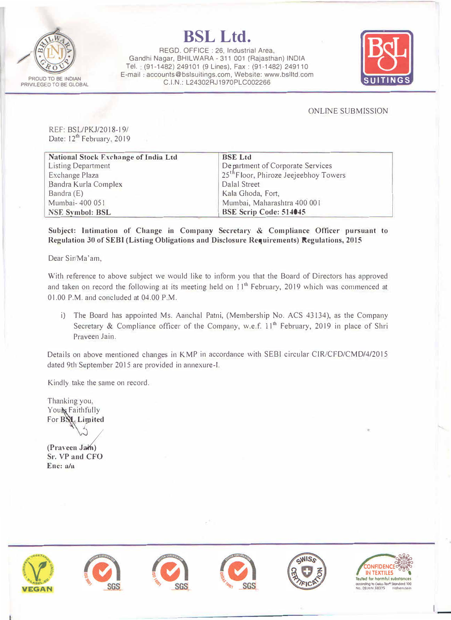

## **BSL Ltd.**

REGO. OFFICE : 26, Industrial Area, Gandhi Nagar, BHILWARA - 311 001 (Rajasthan) INDIA Tel. (91-1482) 249101 (9 Lines), Fax: (91-1482) 249110 E-mail. accounts@bslsuitings.com, Website: www.bslltd.com C.I.N.: L24302RJ1970PLC002266 **SUITINGS** 



ONLINE SUBMISSION

REF: BSL/PKJ/2018-19/ Date: 12<sup>th</sup> February, 2019

| <b>National Stock Exchange of India Ltd</b> | <b>BSE Ltd</b>                                    |  |
|---------------------------------------------|---------------------------------------------------|--|
| <b>Listing Department</b>                   | De partment of Corporate Services                 |  |
| Exchange Plaza                              | 25 <sup>th</sup> Floor, Phiroze Jeejeebhoy Towers |  |
| Bandra Kurla Complex                        | Dalal Street                                      |  |
| Bandra $(E)$                                | Kala Ghoda, Fort,                                 |  |
| Mumbai- 400 051                             | Mumbai, Maharashtra 400 001                       |  |
| <b>NSE Symbol: BSL</b>                      | BSE Scrip Code: 514045                            |  |

**Subject: Intimation of Change in Company Secretary & Compliance Officer pursuant to Regulation 30 of SEBI (Listing Obligations and Disclosure Requirements) Regulations, 2015** 

Dear Sir/Ma'am,

With reference to above subject we would like to inform you that the Board of Directors has approved and taken on record the following at its meeting held on  $11<sup>th</sup>$  February, 2019 which was commenced at 01.00 P.M. and concluded at 04.00 **P.M.** 

i) **The** Board has appointed Ms. Aanchal Patni, (Membership No. ACS 43134), as the Company Secretary & Compliance officer of the Company, w.e.f.  $11<sup>th</sup>$  February, 2019 in place of Shri Praveen Jain.

Details on above mentioned changes in KMP in accordance with SEBI circular CIR/CFD/CMD/4/2015 dated 9th September 2015 are provided in annexure-1.

Kindly take the same on record.

Thanking you. Your Faithfully For **BSL** Limited

(Praveen Jain) **Sr. VP and CFO Enc: a/n**